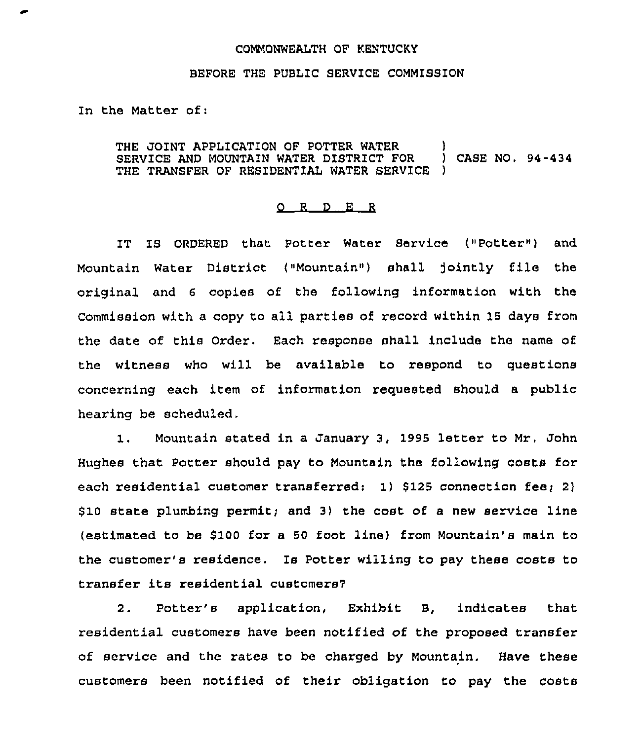## COMMONWEALTH OF KENTUCKY

## BEFORE THE PUBLIC SERVICE COMMISSION

In the Matter of:

THE JOINT APPLICATION OF POTTER WATER (1) (2) THE JOINT APPLICATION OF POTTER WATER (1) CASE NO. 94-434 SERVICE AND MOUNTAIN WATER DISTRICT FOR (1) THE TRANSFER OF RESIDENTIAL WATER SERVICE

## 0 <sup>R</sup> <sup>D</sup> E <sup>R</sup>

IT IS ORDERED that Potter Water Service ("Potter") and Mountain Water District ("Mountain" ) shall ]ointly file the original and <sup>6</sup> copies of the following information with the Commission with a copy to all parties of record within 15 days from the date of this Order. Each response shall include the name of the witness who will be available to respond to questions concerning each item of information requested should a public hearing be scheduled.

1. Mountain stated in <sup>a</sup> January 3, <sup>1995</sup> letter to Mr. John Hughes that Potter should pay to Mountain the following costs for each residential customer transferred:  $1)$  \$125 connection fee; 2)  $$10$  state plumbing permit; and 3) the cost of a new service line (estimated to be \$100 for a 50 foot line) from Mountain's main to the customer's residence. Is Potter willing to pay these costs to transfer its residential customers7

2. Potter's application, Exhibit B, indicates that residential customers have been notified of the proposed transfer of service and the rates to be charged by Mountain, Have these customers been notified of their obligation to pay the costs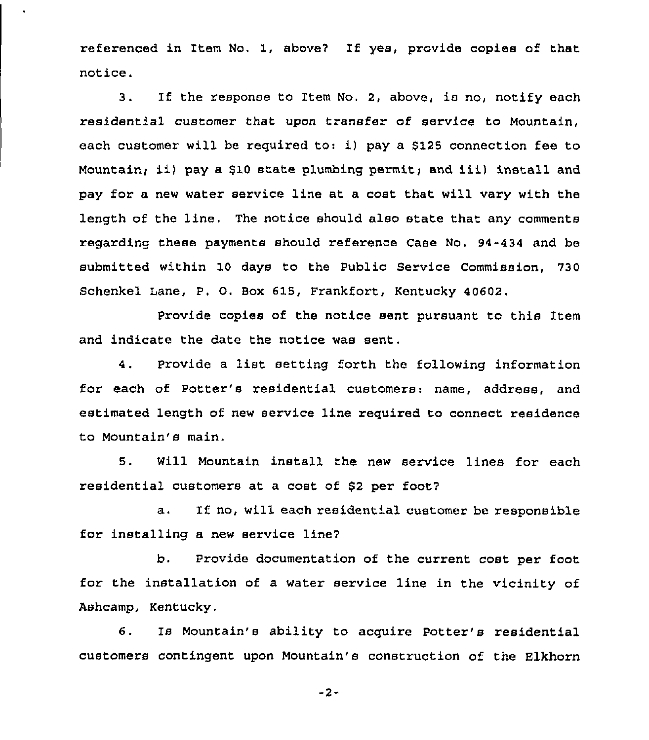referenced in Item No. 1, above7 If yes, provide copies of that notice.

3. If the response to Item No. 2, above, is no, notify each residential customer that upon transfer of service to Mountain, each customer will be required to: i) pay a \$125 connection fee to Mountain; ii) pay <sup>a</sup> \$<sup>10</sup> state plumbing permit; and iii) install and pay for a new water service line at a cost that will vary with the length of the line, The notice should also state that any comments regarding these payments should reference Case No, 94-434 and be submitted within 10 days to the Public Service Commission, 730 Schenkel Lane, P. O. Box 615, Frankfort, Kentucky 40602.

Provide copies of the notice sent pursuant to this Item and indicate the date the notice was sent.

4. Provide <sup>a</sup> list setting forth the following information for each of Potter's residential customers: name, address, and estimated length of new service line required to connect residence to Mountain's main.

5. Will Mountain install the new service lines for each residential customers at a cost of \$<sup>2</sup> per foot7

a. If no, will each residential customer be responsible for installing a new service line7

b. Provide documentation of the current cost per foot for the installation of a water service line in the vicinity of Ashcamp, Kentucky.

6. Is Mountain's ability to acquire Potter's residential customers contingent upon Mountain's construction of the Elkhorn

 $-2-$